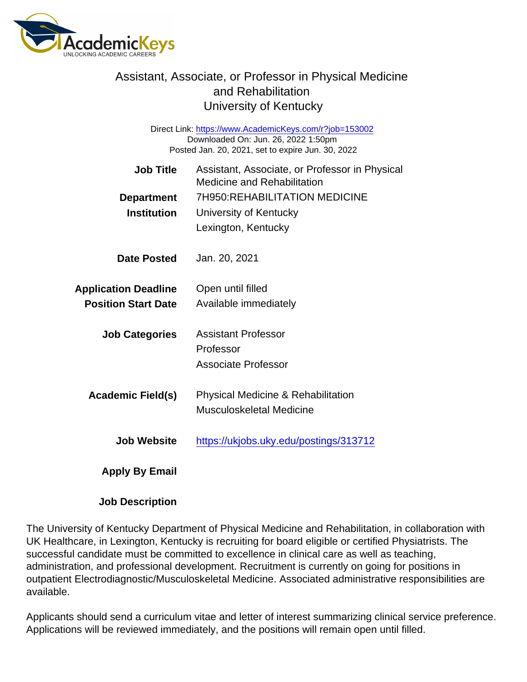## Assistant, Associate, or Professor in Physical Medicine and Rehabilitation University of Kentucky

Direct Link: <https://www.AcademicKeys.com/r?job=153002> Downloaded On: Jun. 26, 2022 1:50pm Posted Jan. 20, 2021, set to expire Jun. 30, 2022

| Job Title<br>Department<br>Institution                    | Assistant, Associate, or Professor in Physical<br><b>Medicine and Rehabilitation</b><br>7H950:REHABILITATION MEDICINE<br>University of Kentucky<br>Lexington, Kentucky |
|-----------------------------------------------------------|------------------------------------------------------------------------------------------------------------------------------------------------------------------------|
| Date Posted                                               | Jan. 20, 2021                                                                                                                                                          |
| <b>Application Deadline</b><br><b>Position Start Date</b> | Open until filled<br>Available immediately                                                                                                                             |
| <b>Job Categories</b>                                     | <b>Assistant Professor</b><br>Professor<br>Associate Professor                                                                                                         |
| Academic Field(s)                                         | <b>Physical Medicine &amp; Rehabilitation</b><br>Musculoskeletal Medicine                                                                                              |
| Job Website                                               | https://ukjobs.uky.edu/postings/313712                                                                                                                                 |
| Apply By Email                                            |                                                                                                                                                                        |

Job Description

The University of Kentucky Department of Physical Medicine and Rehabilitation, in collaboration with UK Healthcare, in Lexington, Kentucky is recruiting for board eligible or certified Physiatrists. The successful candidate must be committed to excellence in clinical care as well as teaching, administration, and professional development. Recruitment is currently on going for positions in outpatient Electrodiagnostic/Musculoskeletal Medicine. Associated administrative responsibilities are available.

Applicants should send a curriculum vitae and letter of interest summarizing clinical service preference. Applications will be reviewed immediately, and the positions will remain open until filled.